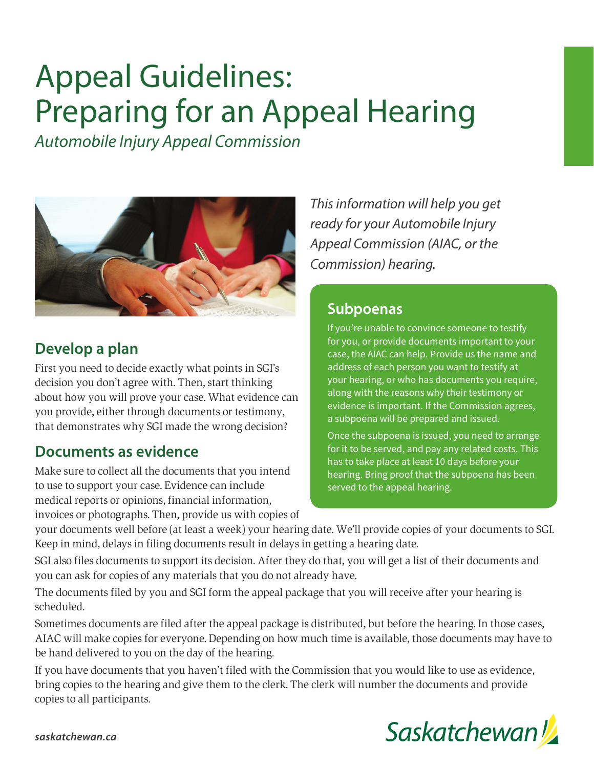# Appeal Guidelines: Preparing for an Appeal Hearing

*Automobile Injury Appeal Commission*



#### **Develop a plan**

First you need to decide exactly what points in SGI's decision you don't agree with. Then, start thinking about how you will prove your case. What evidence can you provide, either through documents or testimony, that demonstrates why SGI made the wrong decision?

#### **Documents as evidence**

Make sure to collect all the documents that you intend to use to support your case. Evidence can include medical reports or opinions, financial information, invoices or photographs. Then, provide us with copies of

*This information will help you get ready for your Automobile Injury Appeal Commission (AIAC, or the Commission) hearing.*

#### **Subpoenas**

If you're unable to convince someone to testify for you, or provide documents important to your case, the AIAC can help. Provide us the name and address of each person you want to testify at your hearing, or who has documents you require, along with the reasons why their testimony or evidence is important. If the Commission agrees, a subpoena will be prepared and issued.

Once the subpoena is issued, you need to arrange for it to be served, and pay any related costs. This has to take place at least 10 days before your hearing. Bring proof that the subpoena has been served to the appeal hearing.

your documents well before (at least a week) your hearing date. We'll provide copies of your documents to SGI. Keep in mind, delays in filing documents result in delays in getting a hearing date.

SGI also files documents to support its decision. After they do that, you will get a list of their documents and you can ask for copies of any materials that you do not already have.

The documents filed by you and SGI form the appeal package that you will receive after your hearing is scheduled.

Sometimes documents are filed after the appeal package is distributed, but before the hearing. In those cases, AIAC will make copies for everyone. Depending on how much time is available, those documents may have to be hand delivered to you on the day of the hearing.

If you have documents that you haven't filed with the Commission that you would like to use as evidence, bring copies to the hearing and give them to the clerk. The clerk will number the documents and provide copies to all participants.